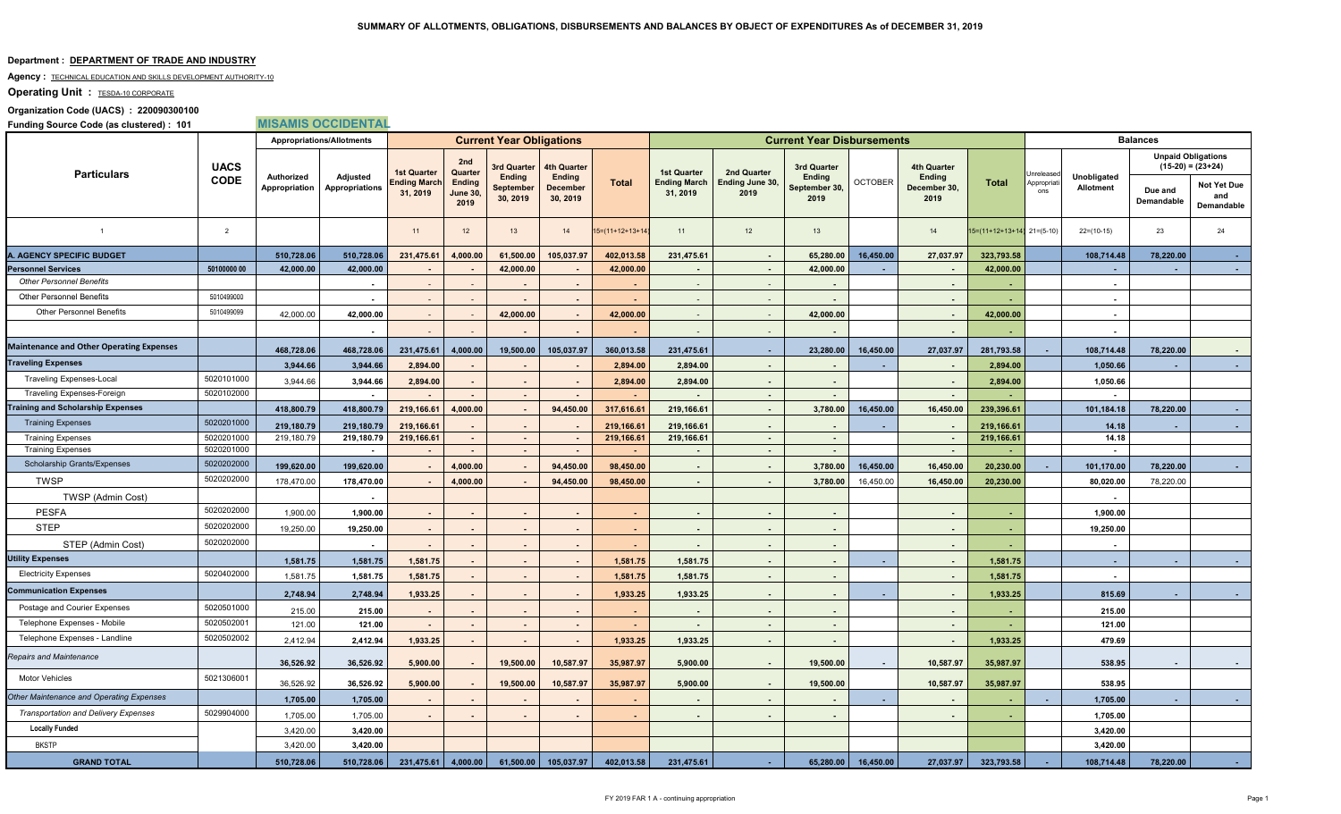#### **Department : DEPARTMENT OF TRADE AND INDUSTRY**

#### Agency : **TECHNICAL EDUCATION AND SKILLS DEVELOPMENT AUTHORITY-10**

# **Operating Unit : TESDA-10 CORPORATE**

### **Organization Code (UACS) : 220090300100**

**Funding Source Code (as clustered) : 101 MISAMIS OCCIDENTAL**

|                                                 | <b>UACS</b><br><b>CODE</b> | <b>Appropriations/Allotments</b> |                            | <b>Current Year Obligations</b> |                                                     |                                                       |                                                             |                    |                                                       |                                        | <b>Current Year Disbursements</b>                     |                | <b>Balances</b>                                      |                                |                   |                          |                                                  |                                         |
|-------------------------------------------------|----------------------------|----------------------------------|----------------------------|---------------------------------|-----------------------------------------------------|-------------------------------------------------------|-------------------------------------------------------------|--------------------|-------------------------------------------------------|----------------------------------------|-------------------------------------------------------|----------------|------------------------------------------------------|--------------------------------|-------------------|--------------------------|--------------------------------------------------|-----------------------------------------|
| <b>Particulars</b>                              |                            |                                  | Adjusted<br>Appropriations | <b>1st Quarter</b>              | 2nd<br>Quarter<br>Ending<br><b>June 30,</b><br>2019 | 3rd Quarter<br><b>Ending</b><br>September<br>30, 2019 | <b>4th Quarter</b><br><b>Ending</b><br>December<br>30, 2019 | <b>Total</b>       | <b>1st Quarter</b><br><b>Ending March</b><br>31, 2019 | 2nd Quarter<br>Ending June 30,<br>2019 | 3rd Quarter<br><b>Ending</b><br>September 30,<br>2019 | <b>OCTOBER</b> | <b>4th Quarter</b><br>Ending<br>December 30,<br>2019 | <b>Total</b>                   | Unrelease         |                          | <b>Unpaid Obligations</b><br>$(15-20) = (23+24)$ |                                         |
|                                                 |                            | Authorized<br>Appropriation      |                            | Ending March<br>31, 2019        |                                                     |                                                       |                                                             |                    |                                                       |                                        |                                                       |                |                                                      |                                | Appropriat<br>ons | Unobligated<br>Allotment | Due and<br>Demandable                            | <b>Not Yet Due</b><br>and<br>Demandable |
| $\overline{1}$                                  | $\overline{2}$             |                                  |                            | 11                              | 12                                                  | 13                                                    | 14                                                          | $15=(11+12+13+14)$ | 11                                                    | 12                                     | 13                                                    |                | 14                                                   | $15=(11+12+13+14)$ $21=(5-10)$ |                   | $22=(10-15)$             | 23                                               | 24                                      |
| A. AGENCY SPECIFIC BUDGET                       |                            | 510,728.06                       | 510,728.06                 | 231,475.61                      | 4,000.00                                            | 61,500.00                                             | 105,037.97                                                  | 402,013.58         | 231,475.61                                            | $\sim$                                 | 65,280.00                                             | 16,450.00      | 27,037.97                                            | 323,793.58                     |                   | 108,714.48               | 78,220.00                                        |                                         |
| <b>Personnel Services</b>                       | 50100000 00                | 42,000.00                        | 42,000.00                  |                                 |                                                     | 42,000.00                                             | $\sim$                                                      | 42,000.00          | $\sim$                                                | $\sim$                                 | 42,000.00                                             |                | $\sim$                                               | 42,000.00                      |                   |                          | $\sim$                                           |                                         |
| <b>Other Personnel Benefits</b>                 |                            |                                  | $\blacksquare$             |                                 | $\sim$                                              |                                                       | $\sim$                                                      |                    | $\sim$                                                | $\sim$                                 |                                                       |                | $\sim$                                               |                                |                   |                          |                                                  |                                         |
| <b>Other Personnel Benefits</b>                 | 5010499000                 |                                  | $\sim$                     | $\sim$                          | $\sim$                                              | $\sim$                                                | $\sim$                                                      |                    | $\sim$                                                | $\sim$                                 | $\sim$                                                |                | $\sim$                                               |                                |                   | $\sim$                   |                                                  |                                         |
| <b>Other Personnel Benefits</b>                 | 5010499099                 | 42,000.00                        | 42,000.00                  | $\sim$                          | $\sim$                                              | 42,000.00                                             | $\sim$                                                      | 42,000.00          | $\sim$                                                | $\sim$                                 | 42,000.00                                             |                | $\sim$                                               | 42,000.00                      |                   | $\sim$                   |                                                  |                                         |
|                                                 |                            |                                  |                            |                                 |                                                     |                                                       |                                                             |                    |                                                       |                                        |                                                       |                |                                                      |                                |                   |                          |                                                  |                                         |
| <b>Maintenance and Other Operating Expenses</b> |                            | 468,728.06                       | 468,728.06                 | 231,475.61                      | 4,000.00                                            | 19,500.00                                             | 105,037.97                                                  | 360,013.58         | 231,475.61                                            | $\sim$                                 | 23,280.00                                             | 16,450.00      | 27,037.97                                            | 281,793.58                     |                   | 108,714.48               | 78,220.00                                        |                                         |
| Traveling Expenses                              |                            | 3,944.66                         | 3,944.66                   | 2,894.00                        |                                                     | $\sim$                                                |                                                             | 2,894.00           | 2,894.00                                              | $\sim$                                 |                                                       |                | $\sim$                                               | 2,894.00                       |                   | 1,050.66                 | $\sim$                                           |                                         |
| <b>Traveling Expenses-Local</b>                 | 5020101000                 | 3,944.66                         | 3,944.66                   | 2,894.00                        | $\sim$                                              | $\sim$                                                | $\sim$                                                      | 2,894.00           | 2,894.00                                              |                                        |                                                       |                | $\sim$                                               | 2,894.00                       |                   | 1,050.66                 |                                                  |                                         |
| <b>Traveling Expenses-Foreign</b>               | 5020102000                 |                                  | $\sim$                     |                                 | <b>Section</b>                                      | $\sim$                                                | $\sim$                                                      |                    |                                                       | <b>College</b>                         | $\sim$                                                |                | $\sim$                                               |                                |                   |                          |                                                  |                                         |
| <b>Fraining and Scholarship Expenses</b>        |                            | 418,800.79                       | 418,800.79                 | 219,166.61                      | 4,000.00                                            | $\sim$                                                | 94,450.00                                                   | 317,616.61         | 219,166.61                                            | $\sim$                                 | 3,780.00                                              | 16,450.00      | 16,450.00                                            | 239,396.61                     |                   | 101,184.18               | 78,220.00                                        |                                         |
| <b>Training Expenses</b>                        | 5020201000                 | 219,180.79                       | 219,180.79                 | 219,166.61                      |                                                     | $\sim$                                                | $\blacksquare$                                              | 219,166.61         | 219,166.61                                            | $\sim$                                 | $\overline{a}$                                        | $\sim$         | $\sim$                                               | 219,166.61                     |                   | 14.18                    | $\sim$                                           | $\sim$                                  |
| <b>Training Expenses</b>                        | 5020201000                 | 219,180.79                       | 219,180.79                 | 219,166.61                      | $\sim$                                              | $\sim$                                                | $\sim$                                                      | 219,166.61         | 219,166.61                                            | $\sim$                                 | $\sim$                                                |                | $\sim$                                               | 219,166.61                     |                   | 14.18                    |                                                  |                                         |
| <b>Training Expenses</b>                        | 5020201000                 |                                  | $\sim$                     |                                 | $\sim$                                              | $\sim$                                                | $\sim$                                                      |                    | $\sim$                                                | $\sim$                                 | $\sim$                                                |                | $\sim$                                               |                                |                   |                          |                                                  |                                         |
| Scholarship Grants/Expenses                     | 5020202000                 | 199,620.00                       | 199,620.00                 |                                 | 4,000.00                                            | $\sim$                                                | 94,450.00                                                   | 98,450.00          |                                                       |                                        | 3,780.00                                              | 16,450.00      | 16,450.00                                            | 20,230.00                      |                   | 101,170.00               | 78,220.00                                        |                                         |
| <b>TWSP</b>                                     | 5020202000                 | 178,470.00                       | 178,470.00                 |                                 | 4,000.00                                            | $\sim$                                                | 94,450.00                                                   | 98,450.00          | $\sim$                                                | $\sim$                                 | 3,780.00                                              | 16,450.00      | 16,450.00                                            | 20,230.00                      |                   | 80,020.00                | 78,220.00                                        |                                         |
| TWSP (Admin Cost)                               |                            |                                  |                            |                                 |                                                     |                                                       |                                                             |                    |                                                       |                                        |                                                       |                |                                                      |                                |                   |                          |                                                  |                                         |
| <b>PESFA</b>                                    | 5020202000                 | 1,900.00                         | 1,900.00                   |                                 |                                                     | $\sim$                                                |                                                             |                    | $\sim$                                                |                                        | $\blacksquare$                                        |                |                                                      |                                |                   | 1,900.00                 |                                                  |                                         |
| <b>STEP</b>                                     | 5020202000                 | 19,250.00                        | 19,250.00                  | $\sim$                          | $\sim$                                              | $\sim$                                                | $\blacksquare$                                              | $\sim$             | $\sim$                                                | $\sim$                                 | $\blacksquare$                                        |                | $\sim$                                               |                                |                   | 19,250.00                |                                                  |                                         |
| STEP (Admin Cost)                               | 5020202000                 |                                  | $\sim$                     | $\sim$                          | $\sim$                                              | $\sim$                                                | $\blacksquare$                                              |                    | $\sim$                                                | $\sim$                                 | $\blacksquare$                                        |                | $\sim$                                               |                                |                   |                          |                                                  |                                         |
| <b>Utility Expenses</b>                         |                            | 1,581.75                         | 1,581.75                   | 1,581.75                        |                                                     | $\sim$                                                | $\blacksquare$                                              | 1,581.75           | 1,581.75                                              | $\sim$                                 | $\blacksquare$                                        |                | $\sim$                                               | 1,581.75                       |                   |                          |                                                  |                                         |
| <b>Electricity Expenses</b>                     | 5020402000                 | 1,581.75                         | 1,581.75                   | 1,581.75                        |                                                     | $\sim$                                                | $\sim$                                                      | 1,581.75           | 1,581.75                                              | $\sim$                                 | $\blacksquare$                                        |                | $\sim$                                               | 1,581.75                       |                   |                          |                                                  |                                         |
| <b>Communication Expenses</b>                   |                            | 2,748.94                         | 2,748.94                   | 1,933.25                        |                                                     | $\sim$                                                | $\blacksquare$                                              | 1,933.25           | 1,933.25                                              | $\sim$                                 | $\blacksquare$                                        |                | $\sim$                                               | 1,933.25                       |                   | 815.69                   |                                                  |                                         |
| Postage and Courier Expenses                    | 5020501000                 | 215.00                           | 215.00                     |                                 |                                                     |                                                       |                                                             |                    |                                                       |                                        |                                                       |                |                                                      |                                |                   | 215.00                   |                                                  |                                         |
| Telephone Expenses - Mobile                     | 5020502001                 | 121.00                           | 121.00                     | $\sim$                          | $\sim$                                              | $\sim$                                                | $\sim$                                                      |                    | $\sim$                                                | $\sim$                                 | $\sim$                                                |                | $\sim$                                               |                                |                   | 121.00                   |                                                  |                                         |
| Telephone Expenses - Landline                   | 5020502002                 | 2,412.94                         | 2,412.94                   | 1,933.25                        |                                                     | $\sim$                                                | $\blacksquare$                                              | 1,933.25           | 1,933.25                                              | $\sim$                                 |                                                       |                |                                                      | 1,933.25                       |                   | 479.69                   |                                                  |                                         |
| <b>Repairs and Maintenance</b>                  |                            | 36,526.92                        | 36,526.92                  | 5,900.00                        |                                                     | 19,500.00                                             | 10,587.9                                                    | 35,987.97          | 5,900.00                                              | $\sim$                                 | 19,500.00                                             | $\sim$         | 10,587.97                                            | 35,987.97                      |                   | 538.95                   |                                                  |                                         |
| <b>Motor Vehicles</b>                           | 5021306001                 | 36,526.92                        | 36,526.92                  | 5,900.00                        |                                                     | 19,500.00                                             | 10,587.97                                                   | 35,987.97          | 5,900.00                                              | $\sim$                                 | 19,500.00                                             |                | 10,587.97                                            | 35,987.97                      |                   | 538.95                   |                                                  |                                         |
| Other Maintenance and Operating Expenses        |                            | 1,705.00                         | 1,705.00                   |                                 |                                                     |                                                       |                                                             |                    | $\sim$                                                | $\sim$                                 |                                                       | $\sim$         | $\sim$                                               |                                |                   | 1,705.00                 | $\sim$                                           | $\sim$                                  |
| <b>Transportation and Delivery Expenses</b>     | 5029904000                 | 1,705.00                         | 1,705.00                   | $\sim$                          |                                                     | $\sim$                                                | $\sim$                                                      |                    | $\sim$                                                | $\sim$                                 | $\sim$                                                |                | $\sim$                                               |                                |                   | 1,705.00                 |                                                  |                                         |
| <b>Locally Funded</b>                           |                            | 3,420.00                         | 3,420.00                   |                                 |                                                     |                                                       |                                                             |                    |                                                       |                                        |                                                       |                |                                                      |                                |                   | 3,420.00                 |                                                  |                                         |
| <b>BKSTP</b>                                    |                            | 3,420.00                         | 3,420.00                   |                                 |                                                     |                                                       |                                                             |                    |                                                       |                                        |                                                       |                |                                                      |                                |                   | 3,420.00                 |                                                  |                                         |
| <b>GRAND TOTAL</b>                              |                            | 510,728.06                       | 510,728.06                 | 231,475.61                      | 4,000.00                                            | 61,500.00                                             | 105,037.97                                                  | 402,013.58         | 231,475.61                                            |                                        | 65,280.00                                             | 16,450.00      | 27,037.97                                            | 323,793.58                     |                   | 108,714.48               | 78,220.00                                        |                                         |